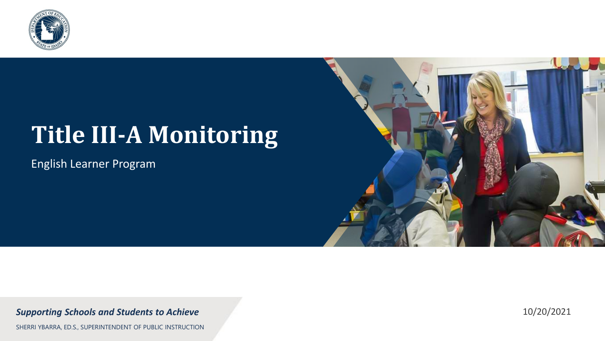

## **Title III-A Monitoring**

English Learner Program



#### *Supporting Schools and Students to Achieve*

SHERRI YBARRA, ED.S., SUPERINTENDENT OF PUBLIC INSTRUCTION

10/20/2021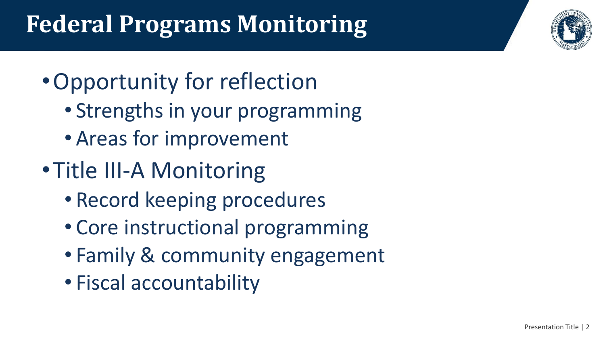## **Federal Programs Monitoring**

- •Opportunity for reflection
	- Strengths in your programming
	- Areas for improvement
- •Title III-A Monitoring
	- Record keeping procedures
	- Core instructional programming
	- Family & community engagement
	- Fiscal accountability

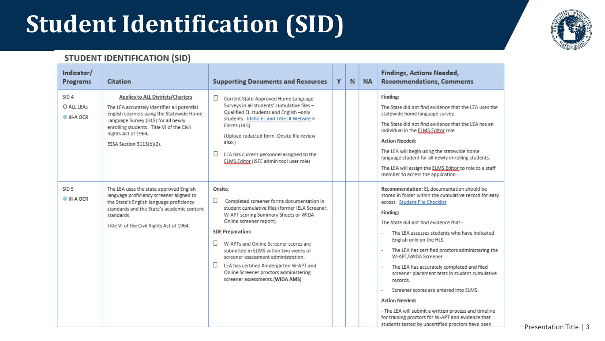## **Student Identification (SID)**



#### **STUDENT IDENTIFICATION (SID)**

| Indicator/<br>Programs                      | <b>Citation</b>                                                                                                                                                                                                                                                             | <b>Supporting Documents and Resources</b>                                                                                                                                                                                                                                                                                                                                                                                                                                    | Y | N | <b>NA</b> | <b>Findings, Actions Needed,</b><br><b>Recommendations, Comments</b>                                                                                                                                                                                                                                                                                                                                                                                                                                                                                                                                                                                                                                 |
|---------------------------------------------|-----------------------------------------------------------------------------------------------------------------------------------------------------------------------------------------------------------------------------------------------------------------------------|------------------------------------------------------------------------------------------------------------------------------------------------------------------------------------------------------------------------------------------------------------------------------------------------------------------------------------------------------------------------------------------------------------------------------------------------------------------------------|---|---|-----------|------------------------------------------------------------------------------------------------------------------------------------------------------------------------------------------------------------------------------------------------------------------------------------------------------------------------------------------------------------------------------------------------------------------------------------------------------------------------------------------------------------------------------------------------------------------------------------------------------------------------------------------------------------------------------------------------------|
| SID <sub>4</sub><br>O ALL LEAS<br>III-A OCR | <b>Applies to ALL Districts/Charters</b><br>The LEA accurately identifies all potential<br>English Learners using the Statewide Home<br>Language Survey (HLS) for all newly<br>enrolling students. Title VI of the Civil<br>Rights Act of 1964;<br>ESSA Section 3113(b)(2). | $\Box$<br>Current State-Approved Home Language<br>Surveys in all students' cumulative files -<br>Qualified EL students and English-only<br>students. Idaho EL and Title III Website ><br>Forms (HLS)<br>(Upload redacted form. Onsite file review<br>also.)<br>$\Box$<br>LEA has current personnel assigned to the<br>ELMS.Editor (ISEE admin tool user role)                                                                                                                |   |   |           | Finding:<br>The State did not find evidence that the LEA uses the<br>statewide home language survey.<br>The State did not find evidence that the LEA has an<br>individual in the ELMS, Editor role.<br><b>Action Needed:</b><br>The LEA will begin using the statewide home<br>language student for all newly enrolling students.<br>The LEA will assign the ELMS, Editor to role to a staff<br>member to access the application.                                                                                                                                                                                                                                                                    |
| SID <sub>5</sub><br>III-A OCR               | The LEA uses the state approved English<br>language proficiency screener aligned to<br>the State's English language proficiency<br>standards and the State's academic content<br>standards.<br>Title VI of the Civil Rights Act of 1964.                                    | Onsite:<br>$\Box$<br>Completed screener forms documentation in<br>student cumulative files (former IELA Screener,<br>W-APT scoring Summary Sheets or WIDA<br>Online screener report).<br><b>SDE Preparation:</b><br>0<br>W-APTs and Online Screener scores are<br>submitted in ELMS within two weeks of<br>screener assessment administration.<br>LEA has certified Kindergarten W-APT and<br>ш<br>Online Screener proctors administering<br>screener assessments.(WIDA AMS) |   |   |           | Recommendation: EL documentation should be<br>stored in folder within the cumulative record for easy<br>access. Student File Checklist<br>Finding:<br>The State did not find evidence that -<br>The LEA assesses students who have indicated<br>English only on the HLS.<br>The LEA has certified proctors administering the<br>W-APT/WIDA Screener<br>The LEA has accurately completed and filed<br>screener placement tests in student cumulative<br>records.<br>Screener scores are entered into ELMS.<br><b>Action Needed:</b><br>- The LEA will submit a written process and timeline<br>for training proctors for W-APT and evidence that<br>students tested by uncertified proctors have been |

Presentation Title | 3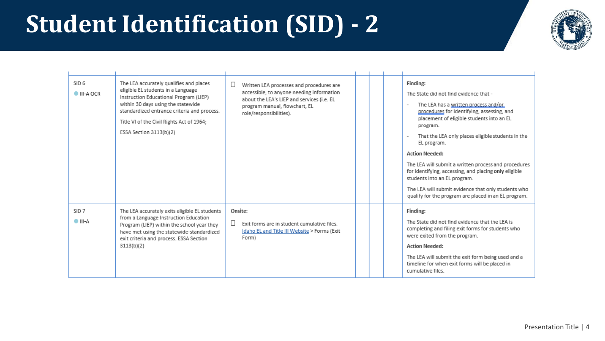## **Student Identification (SID) - 2**



| SID <sub>6</sub><br><b>O</b> III-A OCR | The LEA accurately qualifies and places<br>eligible EL students in a Language<br>Instruction Educational Program (LIEP)<br>within 30 days using the statewide<br>standardized entrance criteria and process.<br>Title VI of the Civil Rights Act of 1964;<br>ESSA Section 3113(b)(2) | $\Box$<br>Written LEA processes and procedures are<br>accessible, to anyone needing information<br>about the LEA's LIEP and services (i.e. EL<br>program manual, flowchart, EL<br>role/responsibilities). |  | Finding:<br>The State did not find evidence that -<br>The LEA has a written process and/or<br>procedures for identifying, assessing, and<br>placement of eligible students into an EL<br>program.<br>That the LEA only places eligible students in the<br>EL program.<br><b>Action Needed:</b><br>The LEA will submit a written process and procedures<br>for identifying, accessing, and placing only eligible<br>students into an EL program.<br>The LEA will submit evidence that only students who<br>qualify for the program are placed in an EL program. |
|----------------------------------------|--------------------------------------------------------------------------------------------------------------------------------------------------------------------------------------------------------------------------------------------------------------------------------------|-----------------------------------------------------------------------------------------------------------------------------------------------------------------------------------------------------------|--|----------------------------------------------------------------------------------------------------------------------------------------------------------------------------------------------------------------------------------------------------------------------------------------------------------------------------------------------------------------------------------------------------------------------------------------------------------------------------------------------------------------------------------------------------------------|
| SID <sub>7</sub><br>$\bullet$ III-A    | The LEA accurately exits eligible EL students<br>from a Language Instruction Education<br>Program (LIEP) within the school year they<br>have met using the statewide-standardized<br>exit criteria and process. ESSA Section<br>3113(b)(2)                                           | Onsite:<br>Exit forms are in student cumulative files.<br>Idaho EL and Title III Website > Forms (Exit<br>Form)                                                                                           |  | Finding:<br>The State did not find evidence that the LEA is<br>completing and filing exit forms for students who<br>were exited from the program.<br><b>Action Needed:</b><br>The LEA will submit the exit form being used and a<br>timeline for when exit forms will be placed in<br>cumulative files.                                                                                                                                                                                                                                                        |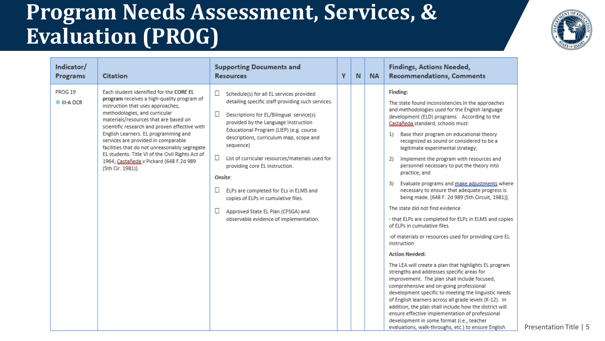

| Indicator/<br>Programs      | Citation                                                                                                                                                                                                                                                                                                                                                                                                                                                                                                  | <b>Supporting Documents and</b><br><b>Resources</b>                                                                                                                                                                                                                                                                                                                                                                                                                                                                                                                                 | Υ | N | <b>NA</b> | <b>Findings, Actions Needed,</b><br><b>Recommendations, Comments</b>                                                                                                                                                                                                                                                                                                                                                                                                                                                                                                                                                                                                                                                                                                                                                                                                                                                                                                                                                                                                                                                                                                                                                                                                                                                                                                                    |
|-----------------------------|-----------------------------------------------------------------------------------------------------------------------------------------------------------------------------------------------------------------------------------------------------------------------------------------------------------------------------------------------------------------------------------------------------------------------------------------------------------------------------------------------------------|-------------------------------------------------------------------------------------------------------------------------------------------------------------------------------------------------------------------------------------------------------------------------------------------------------------------------------------------------------------------------------------------------------------------------------------------------------------------------------------------------------------------------------------------------------------------------------------|---|---|-----------|-----------------------------------------------------------------------------------------------------------------------------------------------------------------------------------------------------------------------------------------------------------------------------------------------------------------------------------------------------------------------------------------------------------------------------------------------------------------------------------------------------------------------------------------------------------------------------------------------------------------------------------------------------------------------------------------------------------------------------------------------------------------------------------------------------------------------------------------------------------------------------------------------------------------------------------------------------------------------------------------------------------------------------------------------------------------------------------------------------------------------------------------------------------------------------------------------------------------------------------------------------------------------------------------------------------------------------------------------------------------------------------------|
| PROG 19<br><b>III-A OCR</b> | Each student identified for the CORE EL<br>program receives a high-quality program of<br>instruction that uses approaches,<br>methodologies, and curricular<br>materials/resources that are based on<br>scientific research and proven effective with<br>English Learners. EL programming and<br>services are provided in comparable<br>facilities that do not unreasonably segregate<br>EL students. Title VI of the Civil Rights Act of<br>1964; Castañeda v Pickard {648 F.2d 989<br>(5th Cir. 1981)}. | $\Box$<br>Schedule(s) for all EL services provided<br>detailing specific staff providing such services.<br>Ц<br>Descriptions for EL/Bilingual service(s)<br>provided by the Language Instruction<br>Educational Program (LIEP) (e.g. course<br>descriptions, curriculum map, scope and<br>sequence)<br>$\Box$<br>List of curricular resources/materials used for<br>providing core EL instruction.<br>Onsite:<br>ELPs are completed for ELs in ELMS and<br>copies of ELPs in cumulative files.<br>Ш<br>Approved State EL Plan (CFSGA) and<br>observable evidence of implementation. |   |   |           | Finding:<br>The state found inconsistencies in the approaches<br>and methodologies used for the English language<br>development (ELD) programs. According to the<br>Castañeda standard, schools must:<br>Base their program on educational theory<br>1)<br>recognized as sound or considered to be a<br>legitimate experimental strategy;<br>Implement the program with resources and<br>2)<br>personnel necessary to put the theory into<br>practice; and<br>Evaluate programs and make adjustments where<br>3)<br>necessary to ensure that adequate progress is<br>being made. [648 F. 2d 989 (5th Circuit, 1981)].<br>The state did not find evidence<br>- that ELPs are completed for ELPs in ELMS and copies<br>of ELPs in cumulative files.<br>-of materials or resources used for providing core EL<br>instruction<br><b>Action Needed:</b><br>The LEA will create a plan that highlights EL program<br>strengths and addresses specific areas for<br>improvement. The plan shall include focused,<br>comprehensive and on-going professional<br>development specific to meeting the linguistic needs<br>of English learners across all grade levels (K-12). In<br>addition, the plan shall include how the district will<br>ensure effective implementation of professional<br>development in some format (i.e., teacher<br>evaluations, walk-throughs, etc.) to ensure English |

Presentation Title | 5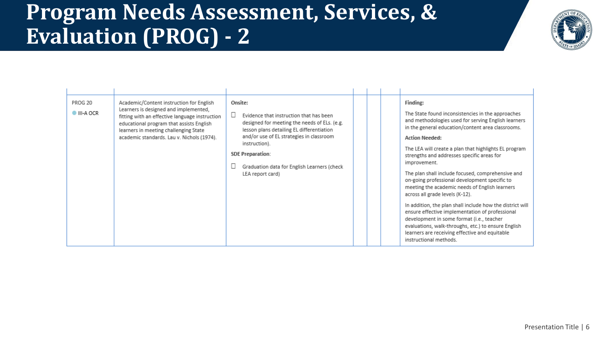

| PROG 20<br><b>III-A OCR</b> | Academic/Content instruction for English<br>Learners is designed and implemented,<br>fitting with an effective language instruction<br>educational program that assists English<br>learners in meeting challenging State<br>academic standards. Lau v. Nichols (1974). | Onsite:<br>Evidence that instruction that has been<br>designed for meeting the needs of ELs. (e.g.<br>lesson plans detailing EL differentiation<br>and/or use of EL strategies in classroom<br>instruction).<br><b>SDE Preparation:</b><br>Graduation data for English Learners (check<br>LEA report card) |  |  |  | Finding:<br>The State found inconsistencies in the approaches<br>and methodologies used for serving English learners<br>in the general education/content area classrooms.<br><b>Action Needed:</b><br>The LEA will create a plan that highlights EL program<br>strengths and addresses specific areas for<br>improvement.<br>The plan shall include focused, comprehensive and<br>on-going professional development specific to<br>meeting the academic needs of English learners<br>across all grade levels (K-12).<br>In addition, the plan shall include how the district will<br>ensure effective implementation of professional<br>development in some format (i.e., teacher<br>evaluations, walk-throughs, etc.) to ensure English<br>learners are receiving effective and equitable<br>instructional methods. |
|-----------------------------|------------------------------------------------------------------------------------------------------------------------------------------------------------------------------------------------------------------------------------------------------------------------|------------------------------------------------------------------------------------------------------------------------------------------------------------------------------------------------------------------------------------------------------------------------------------------------------------|--|--|--|----------------------------------------------------------------------------------------------------------------------------------------------------------------------------------------------------------------------------------------------------------------------------------------------------------------------------------------------------------------------------------------------------------------------------------------------------------------------------------------------------------------------------------------------------------------------------------------------------------------------------------------------------------------------------------------------------------------------------------------------------------------------------------------------------------------------|
|-----------------------------|------------------------------------------------------------------------------------------------------------------------------------------------------------------------------------------------------------------------------------------------------------------------|------------------------------------------------------------------------------------------------------------------------------------------------------------------------------------------------------------------------------------------------------------------------------------------------------------|--|--|--|----------------------------------------------------------------------------------------------------------------------------------------------------------------------------------------------------------------------------------------------------------------------------------------------------------------------------------------------------------------------------------------------------------------------------------------------------------------------------------------------------------------------------------------------------------------------------------------------------------------------------------------------------------------------------------------------------------------------------------------------------------------------------------------------------------------------|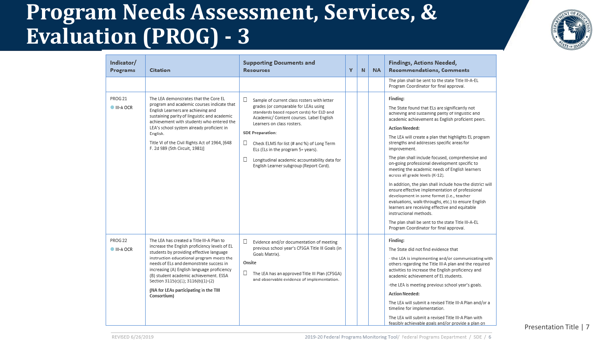

| Indicator/<br>Programs | <b>Citation</b>                                                                                                                                                                                                                                                                                                                                                                                                        | <b>Supporting Documents and</b><br><b>Resources</b>                                                                                                                                                                                                                                                                                                                                                                                       | Υ | N | <b>NA</b> | <b>Findings, Actions Needed,</b><br><b>Recommendations, Comments</b>                                                                                                                                                                                                                                                                                                                                                                                                                                                                                                                                                                                                                                                                                                                                                                                                                                             |
|------------------------|------------------------------------------------------------------------------------------------------------------------------------------------------------------------------------------------------------------------------------------------------------------------------------------------------------------------------------------------------------------------------------------------------------------------|-------------------------------------------------------------------------------------------------------------------------------------------------------------------------------------------------------------------------------------------------------------------------------------------------------------------------------------------------------------------------------------------------------------------------------------------|---|---|-----------|------------------------------------------------------------------------------------------------------------------------------------------------------------------------------------------------------------------------------------------------------------------------------------------------------------------------------------------------------------------------------------------------------------------------------------------------------------------------------------------------------------------------------------------------------------------------------------------------------------------------------------------------------------------------------------------------------------------------------------------------------------------------------------------------------------------------------------------------------------------------------------------------------------------|
|                        |                                                                                                                                                                                                                                                                                                                                                                                                                        |                                                                                                                                                                                                                                                                                                                                                                                                                                           |   |   |           | The plan shall be sent to the state Title III-A-EL<br>Program Coordinator for final approval.                                                                                                                                                                                                                                                                                                                                                                                                                                                                                                                                                                                                                                                                                                                                                                                                                    |
| PROG 21<br>III-A OCR   | The LEA demonstrates that the Core EL<br>program and academic courses indicate that<br>English Learners are achieving and<br>sustaining parity of linguistic and academic<br>achievement with students who entered the<br>LEA's school system already proficient in<br>English.<br>Title VI of the Civil Rights Act of 1964, [648<br>F. 2d 989 (5th Circuit, 1981)]                                                    | □<br>Sample of current class rosters with letter<br>grades (or comparable for LEAs using<br>standards based report cards) for ELD and<br>Academic/ Content courses. Label English<br>Learners on class rosters.<br><b>SDE Preparation:</b><br>$\Box$<br>Check ELMS for list (# and %) of Long Term<br>ELs (ELs in the program 5+ years).<br>□<br>Longitudinal academic accountability data for<br>English Learner subgroup (Report Card). |   |   |           | Finding:<br>The State found that ELs are significantly not<br>achieving and sustaining parity of linguistic and<br>academic achievement as English proficient peers.<br><b>Action Needed:</b><br>The LEA will create a plan that highlights EL program<br>strengths and addresses specific areas for<br>improvement.<br>The plan shall include focused, comprehensive and<br>on-going professional development specific to<br>meeting the academic needs of English learners<br>across all grade levels (K-12).<br>In addition, the plan shall include how the district will<br>ensure effective implementation of professional<br>development in some format (i.e., teacher<br>evaluations, walk-throughs, etc.) to ensure English<br>learners are receiving effective and equitable<br>instructional methods.<br>The plan shall be sent to the state Title III-A-EL<br>Program Coordinator for final approval. |
| PROG 22<br>III-A OCR   | The LEA has created a Title III-A Plan to<br>increase the English proficiency levels of EL<br>students by providing effective language<br>instruction educational program meets the<br>needs of ELs and demonstrate success in<br>increasing (A) English language proficiency<br>(B) student academic achievement. ESSA<br>Section 3115(c)(1); 3116(b)(1)-(2)<br>(NA for LEAs participating in the TIII<br>Consortium) | □<br>Evidence and/or documentation of meeting<br>previous school year's CFSGA Title III Goals (in<br>Goals Matrix).<br>Onsite<br>u.<br>The LEA has an approved Title III Plan (CFSGA)<br>and observable evidence of implementation.                                                                                                                                                                                                       |   |   |           | Finding:<br>The State did not find evidence that<br>- the LEA is implementing and/or communicating with<br>others regarding the Title III-A plan and the required<br>activities to increase the English proficiency and<br>academic achievement of EL students.<br>-the LEA is meeting previous school year's goals.<br><b>Action Needed:</b><br>The LEA will submit a revised Title III-A Plan and/or a<br>timeline for implementation.<br>The LEA will submit a revised Title III-A Plan with<br>feasibly achievable goals and/or provide a plan on                                                                                                                                                                                                                                                                                                                                                            |

Presentation Title | 7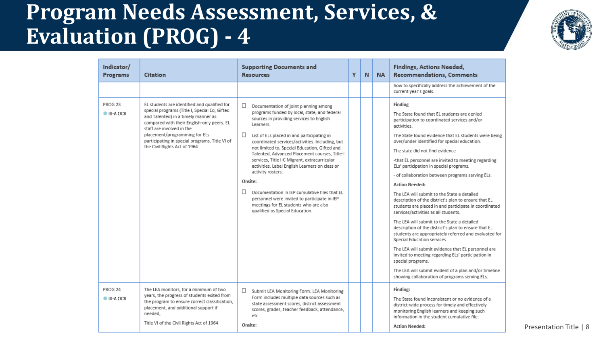

| Indicator/<br>Programs | Citation                                                                                                                                                                                                                                                                                                                           | <b>Supporting Documents and</b><br><b>Resources</b>                                                                                                                                                                                                                                                                                                                                                                                                                                                                                                                                                                                                                             | Y | N | <b>NA</b> | Findings, Actions Needed,<br><b>Recommendations, Comments</b>                                                                                                                                                                                                                                                                                                                                                                                                                                                                                                                                                                                                                                                                                                                                                                                                                                                                                                                                                                                                                                      |
|------------------------|------------------------------------------------------------------------------------------------------------------------------------------------------------------------------------------------------------------------------------------------------------------------------------------------------------------------------------|---------------------------------------------------------------------------------------------------------------------------------------------------------------------------------------------------------------------------------------------------------------------------------------------------------------------------------------------------------------------------------------------------------------------------------------------------------------------------------------------------------------------------------------------------------------------------------------------------------------------------------------------------------------------------------|---|---|-----------|----------------------------------------------------------------------------------------------------------------------------------------------------------------------------------------------------------------------------------------------------------------------------------------------------------------------------------------------------------------------------------------------------------------------------------------------------------------------------------------------------------------------------------------------------------------------------------------------------------------------------------------------------------------------------------------------------------------------------------------------------------------------------------------------------------------------------------------------------------------------------------------------------------------------------------------------------------------------------------------------------------------------------------------------------------------------------------------------------|
|                        |                                                                                                                                                                                                                                                                                                                                    |                                                                                                                                                                                                                                                                                                                                                                                                                                                                                                                                                                                                                                                                                 |   |   |           | how to specifically address the achievement of the<br>current year's goals.                                                                                                                                                                                                                                                                                                                                                                                                                                                                                                                                                                                                                                                                                                                                                                                                                                                                                                                                                                                                                        |
| PROG 23<br>III-A OCR   | EL students are identified and qualified for<br>special programs (Title I, Special Ed, Gifted<br>and Talented) in a timely manner as<br>compared with their English-only peers. EL<br>staff are involved in the<br>placement/programming for ELs<br>participating in special programs. Title VI of<br>the Civil Rights Act of 1964 | □<br>Documentation of joint planning among<br>programs funded by local, state, and federal<br>sources in providing services to English<br>Learners.<br>□<br>List of ELs placed in and participating in<br>coordinated services/activities. Including, but<br>not limited to, Special Education, Gifted and<br>Talented, Advanced Placement courses, Title-I<br>services, Title I-C Migrant, extracurricular<br>activities. Label English Learners on class or<br>activity rosters.<br>Onsite:<br>П<br>Documentation in IEP cumulative files that EL<br>personnel were invited to participate in IEP<br>meetings for EL students who are also<br>qualified as Special Education. |   |   |           | Finding<br>The State found that EL students are denied<br>participation to coordinated services and/or<br>activities.<br>The State found evidence that EL students were being<br>over/under identified for special education.<br>The state did not find evidence<br>-that EL personnel are invited to meeting regarding<br>ELs' participation in special programs.<br>- of collaboration between programs serving ELs.<br><b>Action Needed:</b><br>The LEA will submit to the State a detailed<br>description of the district's plan to ensure that EL<br>students are placed in and participate in coordinated<br>services/activities as all students.<br>The LEA will submit to the State a detailed<br>description of the district's plan to ensure that EL<br>students are appropriately referred and evaluated for<br>Special Education services.<br>The LEA will submit evidence that EL personnel are<br>invited to meeting regarding ELs' participation in<br>special programs.<br>The LEA will submit evident of a plan and/or timeline<br>showing collaboration of programs serving ELs. |
| PROG 24<br>III-A OCR   | The LEA monitors, for a minimum of two<br>years, the progress of students exited from<br>the program to ensure correct classification,<br>placement, and additional support if<br>needed,<br>Title VI of the Civil Rights Act of 1964                                                                                              | □<br>Submit LEA Monitoring Form. LEA Monitoring<br>Form includes multiple data sources such as<br>state assessment scores, district assessment<br>scores, grades, teacher feedback, attendance,<br>etc.<br>Onsite:                                                                                                                                                                                                                                                                                                                                                                                                                                                              |   |   |           | Finding:<br>The State found inconsistent or no evidence of a<br>district-wide process for timely and effectively<br>monitoring English learners and keeping such<br>information in the student cumulative file.<br><b>Action Needed:</b>                                                                                                                                                                                                                                                                                                                                                                                                                                                                                                                                                                                                                                                                                                                                                                                                                                                           |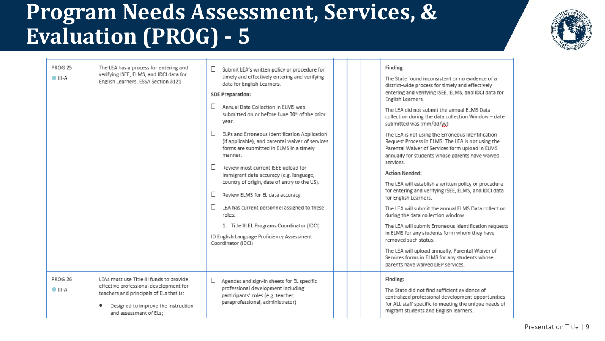

| PROG 25<br>$\bullet$ III-A | The LEA has a process for entering and<br>verifying ISEE, ELMS, and IDCI data for<br>English Learners. ESSA Section 3121                                                                       | □<br>Submit LEA's written policy or procedure for<br>timely and effectively entering and verifying<br>data for English Learners.<br><b>SDE Preparation:</b><br>П<br>Annual Data Collection in ELMS was<br>submitted on or before June 30th of the prior<br>year.<br>□<br>ELPs and Erroneous Identification Application<br>(if applicable), and parental waiver of services<br>forms are submitted in ELMS in a timely<br>manner.<br>□<br>Review most current ISEE upload for<br>Immigrant data accuracy (e.g. language,<br>country of origin, date of entry to the US).<br>Ш<br>Review ELMS for EL data accuracy<br>□<br>LEA has current personnel assigned to these<br>roles:<br>1. Title III EL Programs Coordinator (IDCI)<br>ID English Language Proficiency Assessment |  | Finding<br>The State found inconsistent or no evidence of a<br>district-wide process for timely and effectively<br>entering and verifying ISEE. ELMS, and IDCI data for<br>English Learners.<br>The LEA did not submit the annual ELMS Data<br>collection during the data collection Window - date<br>submitted was (mm/dd/yy)<br>The LEA is not using the Erroneous Identification<br>Request Process in ELMS. The LEA is not using the<br>Parental Waiver of Services form upload in ELMS<br>annually for students whose parents have waived<br>services.<br><b>Action Needed:</b><br>The LEA will establish a written policy or procedure<br>for entering and verifying ISEE, ELMS, and IDCI data<br>for English Learners.<br>The LEA will submit the annual ELMS Data collection<br>during the data collection window.<br>The LEA will submit Erroneous Identification requests<br>in ELMS for any students form whom they have |
|----------------------------|------------------------------------------------------------------------------------------------------------------------------------------------------------------------------------------------|-----------------------------------------------------------------------------------------------------------------------------------------------------------------------------------------------------------------------------------------------------------------------------------------------------------------------------------------------------------------------------------------------------------------------------------------------------------------------------------------------------------------------------------------------------------------------------------------------------------------------------------------------------------------------------------------------------------------------------------------------------------------------------|--|-------------------------------------------------------------------------------------------------------------------------------------------------------------------------------------------------------------------------------------------------------------------------------------------------------------------------------------------------------------------------------------------------------------------------------------------------------------------------------------------------------------------------------------------------------------------------------------------------------------------------------------------------------------------------------------------------------------------------------------------------------------------------------------------------------------------------------------------------------------------------------------------------------------------------------------|
|                            |                                                                                                                                                                                                | Coordinator (IDCI)                                                                                                                                                                                                                                                                                                                                                                                                                                                                                                                                                                                                                                                                                                                                                          |  | removed such status.<br>The LEA will upload annually, Parental Waiver of<br>Services forms in ELMS for any students whose<br>parents have waived LIEP services.                                                                                                                                                                                                                                                                                                                                                                                                                                                                                                                                                                                                                                                                                                                                                                     |
| PROG 26<br>$\bullet$ III-A | LEAs must use Title III funds to provide<br>effective professional development for<br>teachers and principals of ELs that is:<br>Designed to improve the instruction<br>and assessment of ELs: | □<br>Agendas and sign-in sheets for EL specific<br>professional development including<br>participants' roles (e.g. teacher,<br>paraprofessional, administrator)                                                                                                                                                                                                                                                                                                                                                                                                                                                                                                                                                                                                             |  | Finding:<br>The State did not find sufficient evidence of<br>centralized professional development opportunities<br>for ALL staff specific to meeting the unique needs of<br>migrant students and English learners.                                                                                                                                                                                                                                                                                                                                                                                                                                                                                                                                                                                                                                                                                                                  |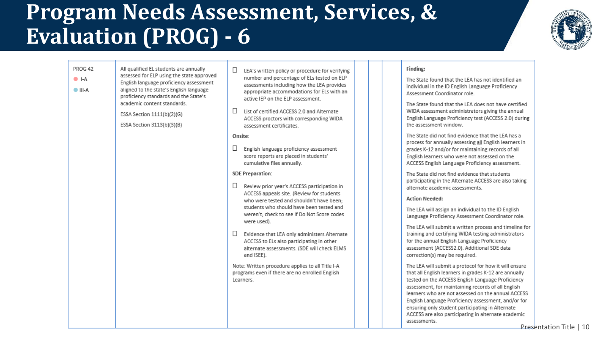

| PROG 42<br>$\bullet$ I-A<br>$\bullet$ III-A | All qualified EL students are annually<br>assessed for ELP using the state approved<br>English language proficiency assessment<br>aligned to the state's English language<br>proficiency standards and the State's<br>academic content standards.<br>ESSA Section 1111(b)(2)(G)<br>ESSA Section 3113(b)(3)(B) | Ш<br>LEA's written policy or procedure for verifying<br>number and percentage of ELs tested on ELP<br>assessments including how the LEA provides<br>appropriate accommodations for ELs with an<br>active IEP on the ELP assessment.<br>ш<br>List of certified ACCESS 2.0 and Alternate<br>ACCESS proctors with corresponding WIDA<br>assessment certificates.                                                                                 | Finding:<br>The State found that the LEA has not identified an<br>individual in the ID English Language Proficiency<br>Assessment Coordinator role.<br>The State found that the LEA does not have certified<br>WIDA assessment administrators giving the annual<br>English Language Proficiency test (ACCESS 2.0) during<br>the assessment window.                                                                                                                                                                              |
|---------------------------------------------|---------------------------------------------------------------------------------------------------------------------------------------------------------------------------------------------------------------------------------------------------------------------------------------------------------------|-----------------------------------------------------------------------------------------------------------------------------------------------------------------------------------------------------------------------------------------------------------------------------------------------------------------------------------------------------------------------------------------------------------------------------------------------|---------------------------------------------------------------------------------------------------------------------------------------------------------------------------------------------------------------------------------------------------------------------------------------------------------------------------------------------------------------------------------------------------------------------------------------------------------------------------------------------------------------------------------|
|                                             |                                                                                                                                                                                                                                                                                                               | Onsite:<br>$\Box$<br>English language proficiency assessment<br>score reports are placed in students'<br>cumulative files annually.                                                                                                                                                                                                                                                                                                           | The State did not find evidence that the LEA has a<br>process for annually assessing all English learners in<br>grades K-12 and/or for maintaining records of all<br>English learners who were not assessed on the<br>ACCESS English Language Proficiency assessment.                                                                                                                                                                                                                                                           |
|                                             |                                                                                                                                                                                                                                                                                                               | <b>SDE Preparation:</b><br>$\Box$<br>Review prior year's ACCESS participation in<br>ACCESS appeals site. (Review for students<br>who were tested and shouldn't have been:<br>students who should have been tested and<br>weren't; check to see if Do Not Score codes<br>were used).<br>Evidence that LEA only administers Alternate<br>ACCESS to ELs also participating in other<br>alternate assessments. (SDE will check ELMS<br>and ISEE). | The State did not find evidence that students<br>participating in the Alternate ACCESS are also taking<br>alternate academic assessments.<br><b>Action Needed:</b><br>The LEA will assign an individual to the ID English<br>Language Proficiency Assessment Coordinator role.<br>The LEA will submit a written process and timeline for<br>training and certifying WIDA testing administrators<br>for the annual English Language Proficiency<br>assessment (ACCESS2.0). Additional SDE data<br>correction(s) may be required. |
|                                             |                                                                                                                                                                                                                                                                                                               | Note: Written procedure applies to all Title I-A<br>programs even if there are no enrolled English<br>Learners.                                                                                                                                                                                                                                                                                                                               | The LEA will submit a protocol for how it will ensure<br>that all English learners in grades K-12 are annually<br>tested on the ACCESS English Language Proficiency<br>assessment, for maintaining records of all English<br>learners who are not assessed on the annual ACCESS<br>English Language Proficiency assessment, and/or for<br>ensuring only student participating in Alternate<br>ACCESS are also participating in alternate academic<br>assessments.                                                               |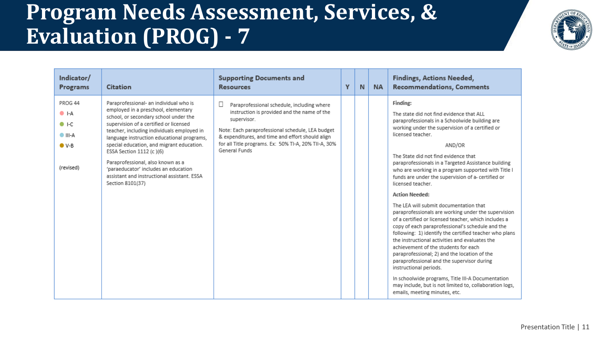

| Indicator/<br>Programs                                                                     | <b>Citation</b>                                                                                                                                                                                                                                                                                                                                                                                                                                                                       | <b>Supporting Documents and</b><br><b>Resources</b>                                                                                                                                                                                                                                       | Y | N | <b>NA</b> | <b>Findings, Actions Needed,</b><br><b>Recommendations, Comments</b>                                                                                                                                                                                                                                                                                                                                                                                                                                                                                                                                                                                                                                                                                                                                                                                                                                                                                                                                                                                                                         |
|--------------------------------------------------------------------------------------------|---------------------------------------------------------------------------------------------------------------------------------------------------------------------------------------------------------------------------------------------------------------------------------------------------------------------------------------------------------------------------------------------------------------------------------------------------------------------------------------|-------------------------------------------------------------------------------------------------------------------------------------------------------------------------------------------------------------------------------------------------------------------------------------------|---|---|-----------|----------------------------------------------------------------------------------------------------------------------------------------------------------------------------------------------------------------------------------------------------------------------------------------------------------------------------------------------------------------------------------------------------------------------------------------------------------------------------------------------------------------------------------------------------------------------------------------------------------------------------------------------------------------------------------------------------------------------------------------------------------------------------------------------------------------------------------------------------------------------------------------------------------------------------------------------------------------------------------------------------------------------------------------------------------------------------------------------|
| PROG 44<br>$\bullet$ I-A<br>$\bullet$ I-C<br>$\bullet$ III-A<br>$\bullet$ V-B<br>(revised) | Paraprofessional- an individual who is<br>employed in a preschool, elementary<br>school, or secondary school under the<br>supervision of a certified or licensed<br>teacher, including individuals employed in<br>language instruction educational programs,<br>special education, and migrant education.<br>ESSA Section 1112 (c)(6)<br>Paraprofessional, also known as a<br>'paraeducator' includes an education<br>assistant and instructional assistant. ESSA<br>Section 8101(37) | Paraprofessional schedule, including where<br>instruction is provided and the name of the<br>supervisor.<br>Note: Each paraprofessional schedule, LEA budget<br>& expenditures, and time and effort should align<br>for all Title programs. Ex: 50% TI-A, 20% TII-A, 30%<br>General Funds |   |   |           | Finding:<br>The state did not find evidence that ALL<br>paraprofessionals in a Schoolwide building are<br>working under the supervision of a certified or<br>licensed teacher.<br>AND/OR<br>The State did not find evidence that<br>paraprofessionals in a Targeted Assistance building<br>who are working in a program supported with Title I<br>funds are under the supervision of a- certified or<br>licensed teacher.<br><b>Action Needed:</b><br>The LEA will submit documentation that<br>paraprofessionals are working under the supervision<br>of a certified or licensed teacher, which includes a<br>copy of each paraprofessional's schedule and the<br>following: 1) identify the certified teacher who plans<br>the instructional activities and evaluates the<br>achievement of the students for each<br>paraprofessional; 2) and the location of the<br>paraprofessional and the supervisor during<br>instructional periods.<br>In schoolwide programs, Title III-A Documentation<br>may include, but is not limited to, collaboration logs,<br>emails, meeting minutes, etc. |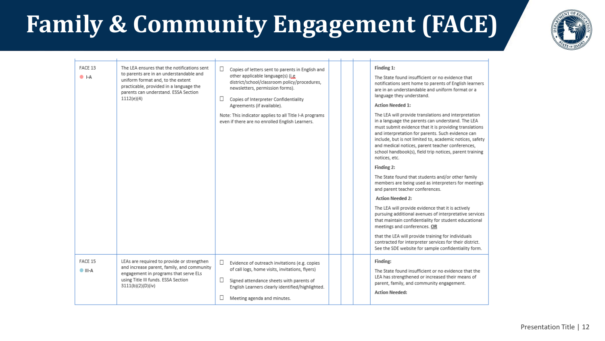## **Family & Community Engagement (FACE)**



| $\bullet$ I-A              | The LEA ensures that the notifications sent<br>to parents are in an understandable and<br>uniform format and, to the extent<br>practicable, provided in a language the<br>parents can understand. ESSA Section<br>1112(e)(4) | П<br>Copies of letters sent to parents in English and<br>other applicable language(s) (i.e.<br>district/school/classroom policy/procedures,<br>newsletters, permission forms).<br>$\Box$<br>Copies of Interpreter Confidentiality<br>Agreements (if available).<br>Note: This indicator applies to all Title I-A programs<br>even if there are no enrolled English Learners. |  | Finding 1:<br>The State found insufficient or no evidence that<br>notifications sent home to parents of English learners<br>are in an understandable and uniform format or a<br>language they understand.<br><b>Action Needed 1:</b><br>The LEA will provide translations and interpretation<br>in a language the parents can understand. The LEA<br>must submit evidence that it is providing translations<br>and interpretation for parents. Such evidence can<br>include, but is not limited to, academic notices, safety<br>and medical notices, parent teacher conferences,<br>school handbook(s), field trip notices, parent training<br>notices, etc.<br>Finding 2:<br>The State found that students and/or other family<br>members are being used as interpreters for meetings<br>and parent teacher conferences.<br><b>Action Needed 2:</b><br>The LEA will provide evidence that it is actively<br>pursuing additional avenues of interpretative services<br>that maintain confidentiality for student educational<br>meetings and conferences. OR<br>that the LEA will provide training for individuals<br>contracted for interpreter services for their district.<br>See the SDE website for sample confidentiality form. |
|----------------------------|------------------------------------------------------------------------------------------------------------------------------------------------------------------------------------------------------------------------------|------------------------------------------------------------------------------------------------------------------------------------------------------------------------------------------------------------------------------------------------------------------------------------------------------------------------------------------------------------------------------|--|---------------------------------------------------------------------------------------------------------------------------------------------------------------------------------------------------------------------------------------------------------------------------------------------------------------------------------------------------------------------------------------------------------------------------------------------------------------------------------------------------------------------------------------------------------------------------------------------------------------------------------------------------------------------------------------------------------------------------------------------------------------------------------------------------------------------------------------------------------------------------------------------------------------------------------------------------------------------------------------------------------------------------------------------------------------------------------------------------------------------------------------------------------------------------------------------------------------------------------------|
| FACE 15<br>$\bullet$ III-A | LEAs are required to provide or strengthen<br>and increase parent, family, and community<br>engagement in programs that serve ELs<br>using Title III funds. ESSA Section<br>3111(b)(2)(D)(iv)                                | П.<br>Evidence of outreach invitations (e.g. copies<br>of call logs, home visits, invitations, flyers)<br>Signed attendance sheets with parents of<br>English Learners clearly identified/highlighted.<br>Meeting agenda and minutes.                                                                                                                                        |  | Finding:<br>The State found insufficient or no evidence that the<br>LEA has strengthened or increased their means of<br>parent, family, and community engagement.<br><b>Action Needed:</b>                                                                                                                                                                                                                                                                                                                                                                                                                                                                                                                                                                                                                                                                                                                                                                                                                                                                                                                                                                                                                                            |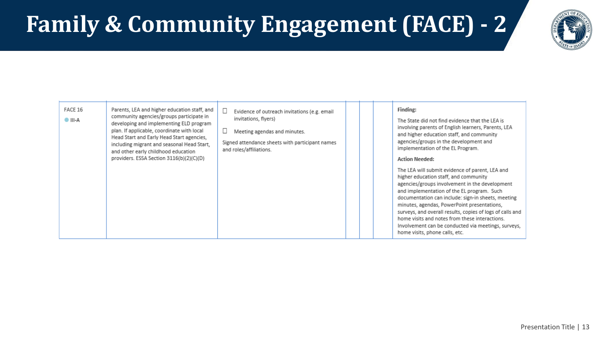## **Family & Community Engagement (FACE) - 2**



| FACE 16<br>Parents, LEA and higher education staff, and<br>community agencies/groups participate in<br>$\bullet$ III-A<br>developing and implementing ELD program<br>plan. If applicable, coordinate with local<br>Head Start and Early Head Start agencies,<br>including migrant and seasonal Head Start,<br>and other early childhood education<br>providers. ESSA Section 3116(b)(2)(C)(D) | Evidence of outreach invitations (e.g. email<br>invitations, flyers)<br>Meeting agendas and minutes.<br>Signed attendance sheets with participant names<br>and roles/affiliations. | Finding:<br>The State did not find evidence that the LEA is<br>involving parents of English learners, Parents, LEA<br>and higher education staff, and community<br>agencies/groups in the development and<br>implementation of the EL Program.<br><b>Action Needed:</b><br>The LEA will submit evidence of parent, LEA and<br>higher education staff, and community<br>agencies/groups involvement in the development<br>and implementation of the EL program. Such<br>documentation can include: sign-in sheets, meeting<br>minutes, agendas, PowerPoint presentations,<br>surveys, and overall results, copies of logs of calls and<br>home visits and notes from these interactions.<br>Involvement can be conducted via meetings, surveys,<br>home visits, phone calls, etc. |
|-----------------------------------------------------------------------------------------------------------------------------------------------------------------------------------------------------------------------------------------------------------------------------------------------------------------------------------------------------------------------------------------------|------------------------------------------------------------------------------------------------------------------------------------------------------------------------------------|----------------------------------------------------------------------------------------------------------------------------------------------------------------------------------------------------------------------------------------------------------------------------------------------------------------------------------------------------------------------------------------------------------------------------------------------------------------------------------------------------------------------------------------------------------------------------------------------------------------------------------------------------------------------------------------------------------------------------------------------------------------------------------|
|-----------------------------------------------------------------------------------------------------------------------------------------------------------------------------------------------------------------------------------------------------------------------------------------------------------------------------------------------------------------------------------------------|------------------------------------------------------------------------------------------------------------------------------------------------------------------------------------|----------------------------------------------------------------------------------------------------------------------------------------------------------------------------------------------------------------------------------------------------------------------------------------------------------------------------------------------------------------------------------------------------------------------------------------------------------------------------------------------------------------------------------------------------------------------------------------------------------------------------------------------------------------------------------------------------------------------------------------------------------------------------------|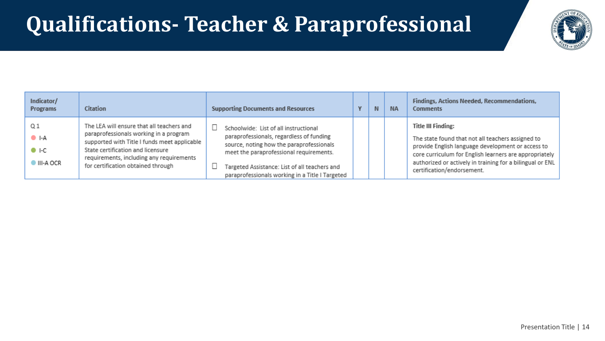### **Qualifications- Teacher & Paraprofessional**



| Indicator/<br>Programs            | <b>Citation</b>                                                                                                                                                                                                                                            | <b>Supporting Documents and Resources</b>                                                                                                                                                                                                                                    | N. | <b>NA</b> | Findings, Actions Needed, Recommendations,<br><b>Comments</b>                                                                                                                                                                                                                            |
|-----------------------------------|------------------------------------------------------------------------------------------------------------------------------------------------------------------------------------------------------------------------------------------------------------|------------------------------------------------------------------------------------------------------------------------------------------------------------------------------------------------------------------------------------------------------------------------------|----|-----------|------------------------------------------------------------------------------------------------------------------------------------------------------------------------------------------------------------------------------------------------------------------------------------------|
| Q1<br>) I-A<br>D 1-C<br>III-A OCR | The LEA will ensure that all teachers and<br>paraprofessionals working in a program<br>supported with Title I funds meet applicable<br>State certification and licensure<br>requirements, including any requirements<br>for certification obtained through | Schoolwide: List of all instructional<br>paraprofessionals, regardless of funding<br>source, noting how the paraprofessionals<br>meet the paraprofessional requirements.<br>Targeted Assistance: List of all teachers and<br>paraprofessionals working in a Title I Targeted |    |           | <b>Title III Finding:</b><br>The state found that not all teachers assigned to<br>provide English language development or access to<br>core curriculum for English learners are appropriately<br>authorized or actively in training for a bilingual or ENL<br>certification/endorsement. |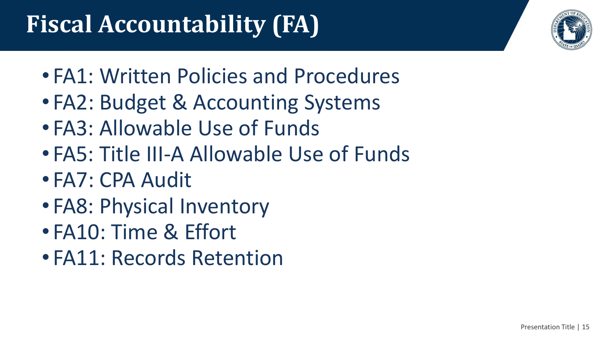## **Fiscal Accountability (FA)**

- FA1: Written Policies and Procedures
- FA2: Budget & Accounting Systems
- FA3: Allowable Use of Funds
- FA5: Title III-A Allowable Use of Funds
- FA7: CPA Audit
- FA8: Physical Inventory
- FA10: Time & Effort
- FA11: Records Retention